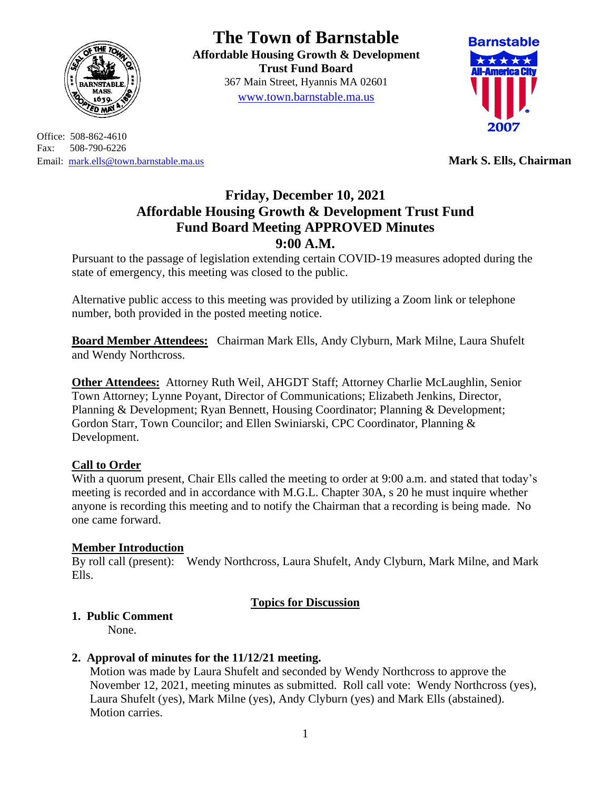

Office: 508-862-4610 Fax: 508-790-6226 Email: [mark.ells@town.barnstable.ma.us](mailto:mark.ells@town.barnstable.ma.us) **Mark S. Ells, Chairman**

# **The Town of Barnstable**

**Affordable Housing Growth & Development Trust Fund Board**  367 Main Street, Hyannis MA 02601 [www.town.barnstable.ma.us](http://www.town.barnstable.ma.us/)



## **Friday, December 10, 2021 Affordable Housing Growth & Development Trust Fund Fund Board Meeting APPROVED Minutes 9:00 A.M.**

Pursuant to the passage of legislation extending certain COVID-19 measures adopted during the state of emergency, this meeting was closed to the public.

Alternative public access to this meeting was provided by utilizing a Zoom link or telephone number, both provided in the posted meeting notice.

**Board Member Attendees:** Chairman Mark Ells, Andy Clyburn, Mark Milne, Laura Shufelt and Wendy Northcross.

**Other Attendees:** Attorney Ruth Weil, AHGDT Staff; Attorney Charlie McLaughlin, Senior Town Attorney; Lynne Poyant, Director of Communications; Elizabeth Jenkins, Director, Planning & Development; Ryan Bennett, Housing Coordinator; Planning & Development; Gordon Starr, Town Councilor; and Ellen Swiniarski, CPC Coordinator, Planning & Development.

#### **Call to Order**

With a quorum present. Chair Ells called the meeting to order at 9:00 a.m. and stated that today's meeting is recorded and in accordance with M.G.L. Chapter 30A, s 20 he must inquire whether anyone is recording this meeting and to notify the Chairman that a recording is being made. No one came forward.

## **Member Introduction**

By roll call (present): Wendy Northcross, Laura Shufelt, Andy Clyburn, Mark Milne, and Mark Ells.

## **Topics for Discussion**

## **1. Public Comment**

None.

#### **2. Approval of minutes for the 11/12/21 meeting.**

Motion was made by Laura Shufelt and seconded by Wendy Northcross to approve the November 12, 2021, meeting minutes as submitted. Roll call vote: Wendy Northcross (yes), Laura Shufelt (yes), Mark Milne (yes), Andy Clyburn (yes) and Mark Ells (abstained). Motion carries.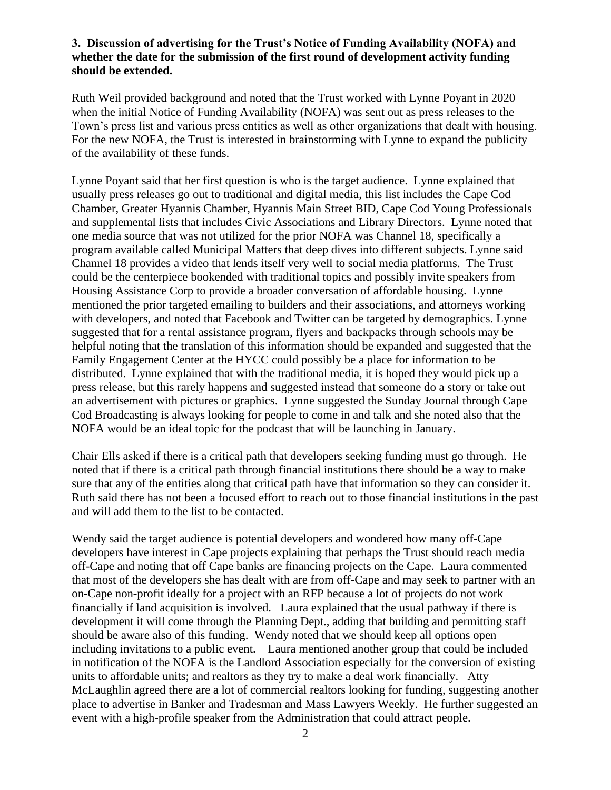#### **3. Discussion of advertising for the Trust's Notice of Funding Availability (NOFA) and whether the date for the submission of the first round of development activity funding should be extended.**

Ruth Weil provided background and noted that the Trust worked with Lynne Poyant in 2020 when the initial Notice of Funding Availability (NOFA) was sent out as press releases to the Town's press list and various press entities as well as other organizations that dealt with housing. For the new NOFA, the Trust is interested in brainstorming with Lynne to expand the publicity of the availability of these funds.

Lynne Poyant said that her first question is who is the target audience. Lynne explained that usually press releases go out to traditional and digital media, this list includes the Cape Cod Chamber, Greater Hyannis Chamber, Hyannis Main Street BID, Cape Cod Young Professionals and supplemental lists that includes Civic Associations and Library Directors. Lynne noted that one media source that was not utilized for the prior NOFA was Channel 18, specifically a program available called Municipal Matters that deep dives into different subjects. Lynne said Channel 18 provides a video that lends itself very well to social media platforms. The Trust could be the centerpiece bookended with traditional topics and possibly invite speakers from Housing Assistance Corp to provide a broader conversation of affordable housing. Lynne mentioned the prior targeted emailing to builders and their associations, and attorneys working with developers, and noted that Facebook and Twitter can be targeted by demographics. Lynne suggested that for a rental assistance program, flyers and backpacks through schools may be helpful noting that the translation of this information should be expanded and suggested that the Family Engagement Center at the HYCC could possibly be a place for information to be distributed. Lynne explained that with the traditional media, it is hoped they would pick up a press release, but this rarely happens and suggested instead that someone do a story or take out an advertisement with pictures or graphics. Lynne suggested the Sunday Journal through Cape Cod Broadcasting is always looking for people to come in and talk and she noted also that the NOFA would be an ideal topic for the podcast that will be launching in January.

Chair Ells asked if there is a critical path that developers seeking funding must go through. He noted that if there is a critical path through financial institutions there should be a way to make sure that any of the entities along that critical path have that information so they can consider it. Ruth said there has not been a focused effort to reach out to those financial institutions in the past and will add them to the list to be contacted.

Wendy said the target audience is potential developers and wondered how many off-Cape developers have interest in Cape projects explaining that perhaps the Trust should reach media off-Cape and noting that off Cape banks are financing projects on the Cape. Laura commented that most of the developers she has dealt with are from off-Cape and may seek to partner with an on-Cape non-profit ideally for a project with an RFP because a lot of projects do not work financially if land acquisition is involved. Laura explained that the usual pathway if there is development it will come through the Planning Dept., adding that building and permitting staff should be aware also of this funding. Wendy noted that we should keep all options open including invitations to a public event. Laura mentioned another group that could be included in notification of the NOFA is the Landlord Association especially for the conversion of existing units to affordable units; and realtors as they try to make a deal work financially. Atty McLaughlin agreed there are a lot of commercial realtors looking for funding, suggesting another place to advertise in Banker and Tradesman and Mass Lawyers Weekly. He further suggested an event with a high-profile speaker from the Administration that could attract people.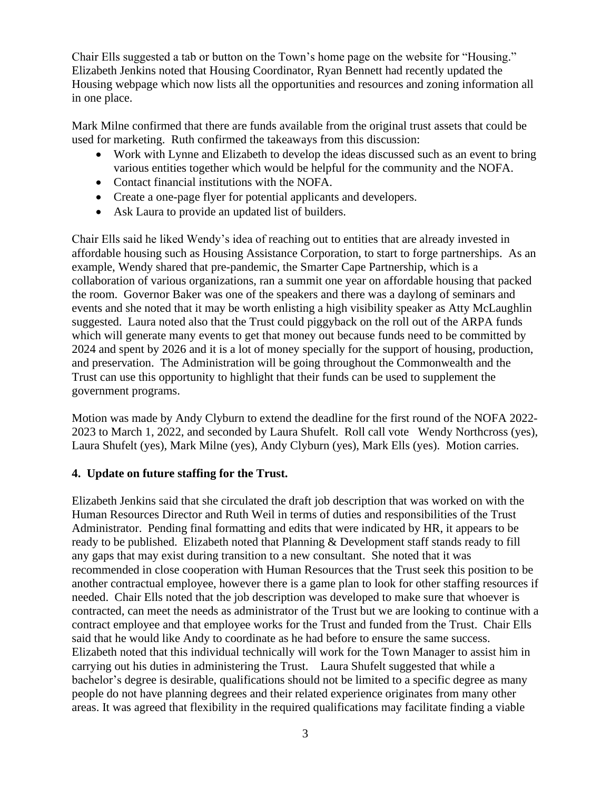Chair Ells suggested a tab or button on the Town's home page on the website for "Housing." Elizabeth Jenkins noted that Housing Coordinator, Ryan Bennett had recently updated the Housing webpage which now lists all the opportunities and resources and zoning information all in one place.

Mark Milne confirmed that there are funds available from the original trust assets that could be used for marketing. Ruth confirmed the takeaways from this discussion:

- Work with Lynne and Elizabeth to develop the ideas discussed such as an event to bring various entities together which would be helpful for the community and the NOFA.
- Contact financial institutions with the NOFA.
- Create a one-page flyer for potential applicants and developers.
- Ask Laura to provide an updated list of builders.

Chair Ells said he liked Wendy's idea of reaching out to entities that are already invested in affordable housing such as Housing Assistance Corporation, to start to forge partnerships. As an example, Wendy shared that pre-pandemic, the Smarter Cape Partnership, which is a collaboration of various organizations, ran a summit one year on affordable housing that packed the room. Governor Baker was one of the speakers and there was a daylong of seminars and events and she noted that it may be worth enlisting a high visibility speaker as Atty McLaughlin suggested. Laura noted also that the Trust could piggyback on the roll out of the ARPA funds which will generate many events to get that money out because funds need to be committed by 2024 and spent by 2026 and it is a lot of money specially for the support of housing, production, and preservation. The Administration will be going throughout the Commonwealth and the Trust can use this opportunity to highlight that their funds can be used to supplement the government programs.

Motion was made by Andy Clyburn to extend the deadline for the first round of the NOFA 2022- 2023 to March 1, 2022, and seconded by Laura Shufelt. Roll call vote Wendy Northcross (yes), Laura Shufelt (yes), Mark Milne (yes), Andy Clyburn (yes), Mark Ells (yes). Motion carries.

#### **4. Update on future staffing for the Trust.**

Elizabeth Jenkins said that she circulated the draft job description that was worked on with the Human Resources Director and Ruth Weil in terms of duties and responsibilities of the Trust Administrator. Pending final formatting and edits that were indicated by HR, it appears to be ready to be published. Elizabeth noted that Planning & Development staff stands ready to fill any gaps that may exist during transition to a new consultant. She noted that it was recommended in close cooperation with Human Resources that the Trust seek this position to be another contractual employee, however there is a game plan to look for other staffing resources if needed. Chair Ells noted that the job description was developed to make sure that whoever is contracted, can meet the needs as administrator of the Trust but we are looking to continue with a contract employee and that employee works for the Trust and funded from the Trust. Chair Ells said that he would like Andy to coordinate as he had before to ensure the same success. Elizabeth noted that this individual technically will work for the Town Manager to assist him in carrying out his duties in administering the Trust. Laura Shufelt suggested that while a bachelor's degree is desirable, qualifications should not be limited to a specific degree as many people do not have planning degrees and their related experience originates from many other areas. It was agreed that flexibility in the required qualifications may facilitate finding a viable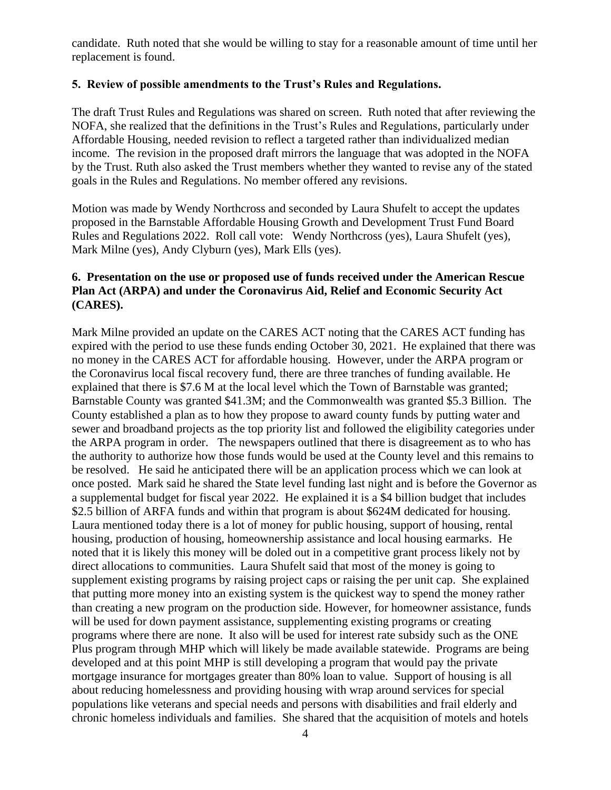candidate. Ruth noted that she would be willing to stay for a reasonable amount of time until her replacement is found.

#### **5. Review of possible amendments to the Trust's Rules and Regulations.**

The draft Trust Rules and Regulations was shared on screen. Ruth noted that after reviewing the NOFA, she realized that the definitions in the Trust's Rules and Regulations, particularly under Affordable Housing, needed revision to reflect a targeted rather than individualized median income. The revision in the proposed draft mirrors the language that was adopted in the NOFA by the Trust. Ruth also asked the Trust members whether they wanted to revise any of the stated goals in the Rules and Regulations. No member offered any revisions.

Motion was made by Wendy Northcross and seconded by Laura Shufelt to accept the updates proposed in the Barnstable Affordable Housing Growth and Development Trust Fund Board Rules and Regulations 2022. Roll call vote: Wendy Northcross (yes), Laura Shufelt (yes), Mark Milne (yes), Andy Clyburn (yes), Mark Ells (yes).

#### **6. Presentation on the use or proposed use of funds received under the American Rescue Plan Act (ARPA) and under the Coronavirus Aid, Relief and Economic Security Act (CARES).**

Mark Milne provided an update on the CARES ACT noting that the CARES ACT funding has expired with the period to use these funds ending October 30, 2021. He explained that there was no money in the CARES ACT for affordable housing. However, under the ARPA program or the Coronavirus local fiscal recovery fund, there are three tranches of funding available. He explained that there is \$7.6 M at the local level which the Town of Barnstable was granted; Barnstable County was granted \$41.3M; and the Commonwealth was granted \$5.3 Billion. The County established a plan as to how they propose to award county funds by putting water and sewer and broadband projects as the top priority list and followed the eligibility categories under the ARPA program in order. The newspapers outlined that there is disagreement as to who has the authority to authorize how those funds would be used at the County level and this remains to be resolved. He said he anticipated there will be an application process which we can look at once posted. Mark said he shared the State level funding last night and is before the Governor as a supplemental budget for fiscal year 2022. He explained it is a \$4 billion budget that includes \$2.5 billion of ARFA funds and within that program is about \$624M dedicated for housing. Laura mentioned today there is a lot of money for public housing, support of housing, rental housing, production of housing, homeownership assistance and local housing earmarks. He noted that it is likely this money will be doled out in a competitive grant process likely not by direct allocations to communities. Laura Shufelt said that most of the money is going to supplement existing programs by raising project caps or raising the per unit cap. She explained that putting more money into an existing system is the quickest way to spend the money rather than creating a new program on the production side. However, for homeowner assistance, funds will be used for down payment assistance, supplementing existing programs or creating programs where there are none. It also will be used for interest rate subsidy such as the ONE Plus program through MHP which will likely be made available statewide. Programs are being developed and at this point MHP is still developing a program that would pay the private mortgage insurance for mortgages greater than 80% loan to value. Support of housing is all about reducing homelessness and providing housing with wrap around services for special populations like veterans and special needs and persons with disabilities and frail elderly and chronic homeless individuals and families. She shared that the acquisition of motels and hotels